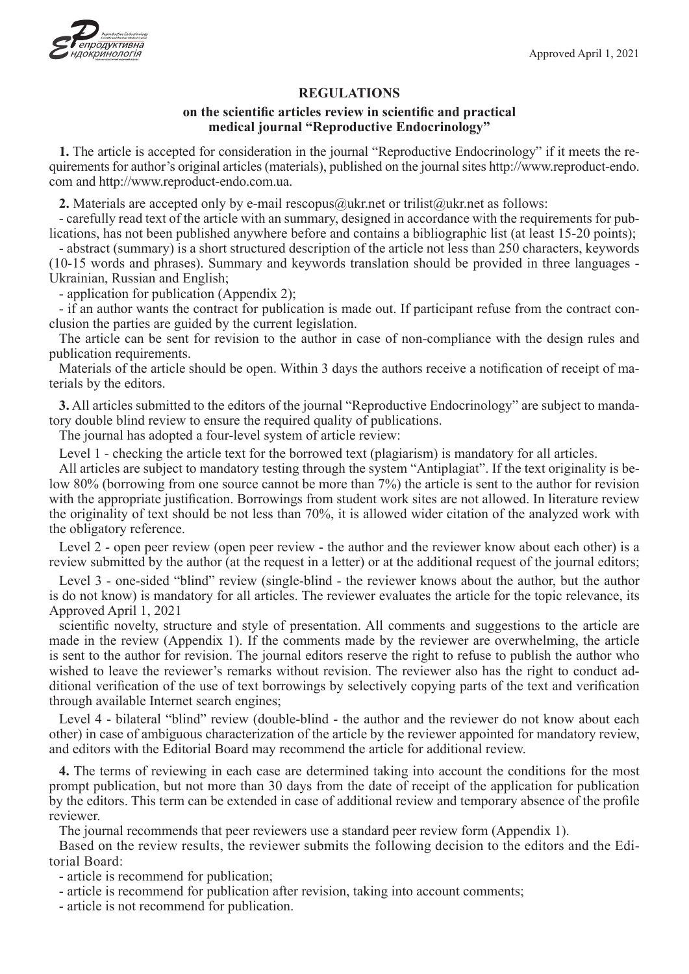

### **REGULATIONS**

### **on the scientific articles review in scientific and practical medical journal "Reproductive Endocrinology"**

**1.** The article is accepted for consideration in the journal "Reproductive Endocrinology" if it meets the requirements for author's original articles (materials), published on the journal sites http://www.reproduct-endo. com and http://www.reproduct-endo.com.ua.

**2.** Materials are accepted only by e-mail rescopus@ukr.net or trilist@ukr.net as follows:

- carefully read text of the article with an summary, designed in accordance with the requirements for publications, has not been published anywhere before and contains a bibliographic list (at least 15-20 points);

- abstract (summary) is a short structured description of the article not less than 250 characters, keywords (10-15 words and phrases). Summary and keywords translation should be provided in three languages - Ukrainian, Russian and English;

- application for publication (Appendix 2);

- if an author wants the contract for publication is made out. If participant refuse from the contract conclusion the parties are guided by the current legislation.

The article can be sent for revision to the author in case of non-compliance with the design rules and publication requirements.

Materials of the article should be open. Within 3 days the authors receive a notification of receipt of materials by the editors.

**3.** All articles submitted to the editors of the journal "Reproductive Endocrinology" are subject to mandatory double blind review to ensure the required quality of publications.

The journal has adopted a four-level system of article review:

Level 1 - checking the article text for the borrowed text (plagiarism) is mandatory for all articles.

All articles are subject to mandatory testing through the system "Antiplagiat". If the text originality is below 80% (borrowing from one source cannot be more than 7%) the article is sent to the author for revision with the appropriate justification. Borrowings from student work sites are not allowed. In literature review the originality of text should be not less than 70%, it is allowed wider citation of the analyzed work with the obligatory reference.

Level 2 - open peer review (open peer review - the author and the reviewer know about each other) is a review submitted by the author (at the request in a letter) or at the additional request of the journal editors;

Level 3 - one-sided "blind" review (single-blind - the reviewer knows about the author, but the author is do not know) is mandatory for all articles. The reviewer evaluates the article for the topic relevance, its Approved April 1, 2021

scientific novelty, structure and style of presentation. All comments and suggestions to the article are made in the review (Appendix 1). If the comments made by the reviewer are overwhelming, the article is sent to the author for revision. The journal editors reserve the right to refuse to publish the author who wished to leave the reviewer's remarks without revision. The reviewer also has the right to conduct additional verification of the use of text borrowings by selectively copying parts of the text and verification through available Internet search engines;

Level 4 - bilateral "blind" review (double-blind - the author and the reviewer do not know about each other) in case of ambiguous characterization of the article by the reviewer appointed for mandatory review, and editors with the Editorial Board may recommend the article for additional review.

**4.** The terms of reviewing in each case are determined taking into account the conditions for the most prompt publication, but not more than 30 days from the date of receipt of the application for publication by the editors. This term can be extended in case of additional review and temporary absence of the profile reviewer.

The journal recommends that peer reviewers use a standard peer review form (Appendix 1).

Based on the review results, the reviewer submits the following decision to the editors and the Editorial Board:

- article is recommend for publication;

- article is recommend for publication after revision, taking into account comments;

- article is not recommend for publication.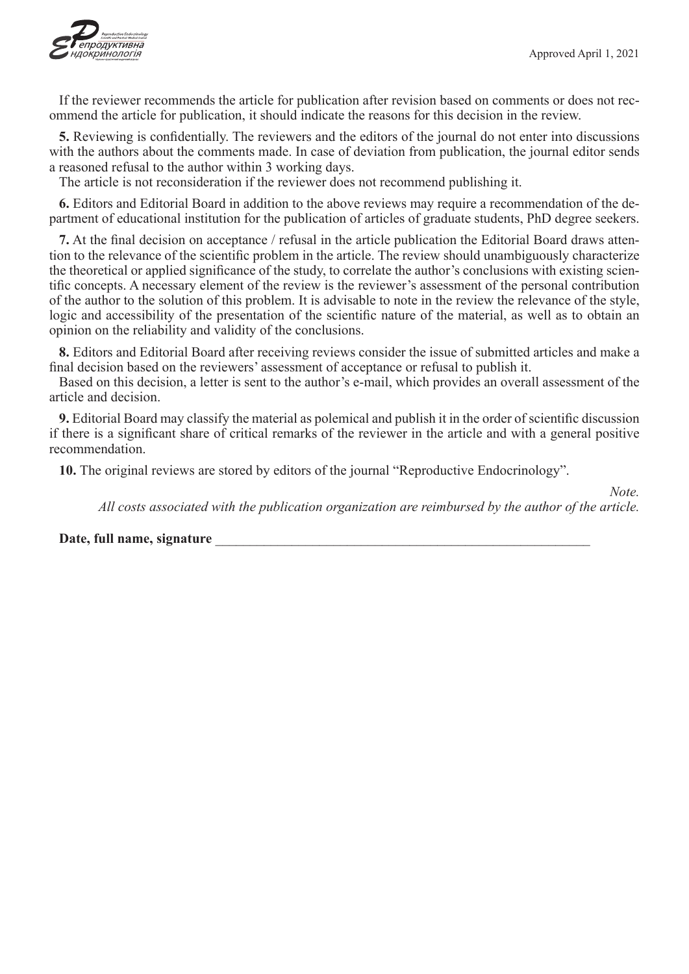

If the reviewer recommends the article for publication after revision based on comments or does not recommend the article for publication, it should indicate the reasons for this decision in the review.

**5.** Reviewing is confidentially. The reviewers and the editors of the journal do not enter into discussions with the authors about the comments made. In case of deviation from publication, the journal editor sends a reasoned refusal to the author within 3 working days.

The article is not reconsideration if the reviewer does not recommend publishing it.

**6.** Editors and Editorial Board in addition to the above reviews may require a recommendation of the department of educational institution for the publication of articles of graduate students, PhD degree seekers.

**7.** At the final decision on acceptance / refusal in the article publication the Editorial Board draws attention to the relevance of the scientific problem in the article. The review should unambiguously characterize the theoretical or applied significance of the study, to correlate the author's conclusions with existing scientific concepts. A necessary element of the review is the reviewer's assessment of the personal contribution of the author to the solution of this problem. It is advisable to note in the review the relevance of the style, logic and accessibility of the presentation of the scientific nature of the material, as well as to obtain an opinion on the reliability and validity of the conclusions.

**8.** Editors and Editorial Board after receiving reviews consider the issue of submitted articles and make a final decision based on the reviewers' assessment of acceptance or refusal to publish it.

Based on this decision, a letter is sent to the author's e-mail, which provides an overall assessment of the article and decision.

**9.** Editorial Board may classify the material as polemical and publish it in the order of scientific discussion if there is a significant share of critical remarks of the reviewer in the article and with a general positive recommendation.

**10.** The original reviews are stored by editors of the journal "Reproductive Endocrinology".

*Note.*

*All costs associated with the publication organization are reimbursed by the author of the article.*

#### Date, full name, signature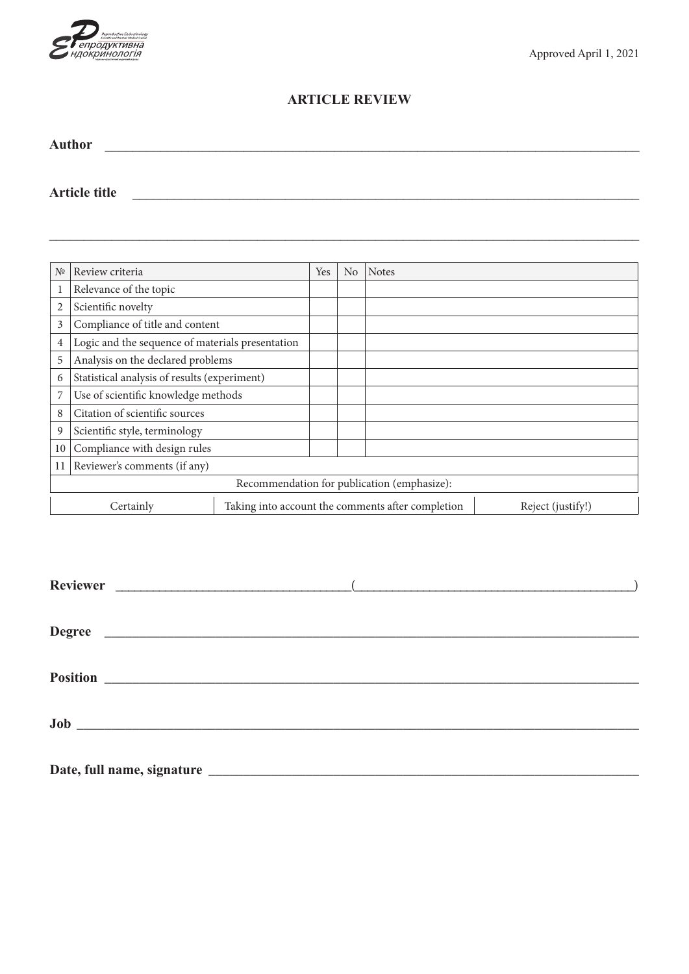

# **ARTICLE REVIEW**

| Author |  |  |  |
|--------|--|--|--|
|        |  |  |  |
|        |  |  |  |

**Article title** \_\_\_\_\_\_\_\_\_\_\_\_\_\_\_\_\_\_\_\_\_\_\_\_\_\_\_\_\_\_\_\_\_\_\_\_\_\_\_\_\_\_\_\_\_\_\_\_\_\_\_\_\_\_\_\_\_\_\_\_\_\_\_\_\_\_\_\_\_\_\_\_\_

| N <sup>0</sup>                              | Review criteria                                                                     |  | N <sub>o</sub> | <b>Notes</b> |  |
|---------------------------------------------|-------------------------------------------------------------------------------------|--|----------------|--------------|--|
| Relevance of the topic                      |                                                                                     |  |                |              |  |
| 2                                           | Scientific novelty                                                                  |  |                |              |  |
| Compliance of title and content<br>3        |                                                                                     |  |                |              |  |
| 4                                           | Logic and the sequence of materials presentation                                    |  |                |              |  |
| Analysis on the declared problems<br>5      |                                                                                     |  |                |              |  |
| 6                                           | Statistical analysis of results (experiment)                                        |  |                |              |  |
|                                             | Use of scientific knowledge methods                                                 |  |                |              |  |
| Citation of scientific sources<br>8         |                                                                                     |  |                |              |  |
| 9                                           | Scientific style, terminology                                                       |  |                |              |  |
| 10                                          | Compliance with design rules                                                        |  |                |              |  |
| 11                                          | Reviewer's comments (if any)                                                        |  |                |              |  |
| Recommendation for publication (emphasize): |                                                                                     |  |                |              |  |
|                                             | Taking into account the comments after completion<br>Reject (justify!)<br>Certainly |  |                |              |  |

| Degree |  |
|--------|--|
|        |  |
|        |  |
|        |  |
|        |  |
|        |  |
|        |  |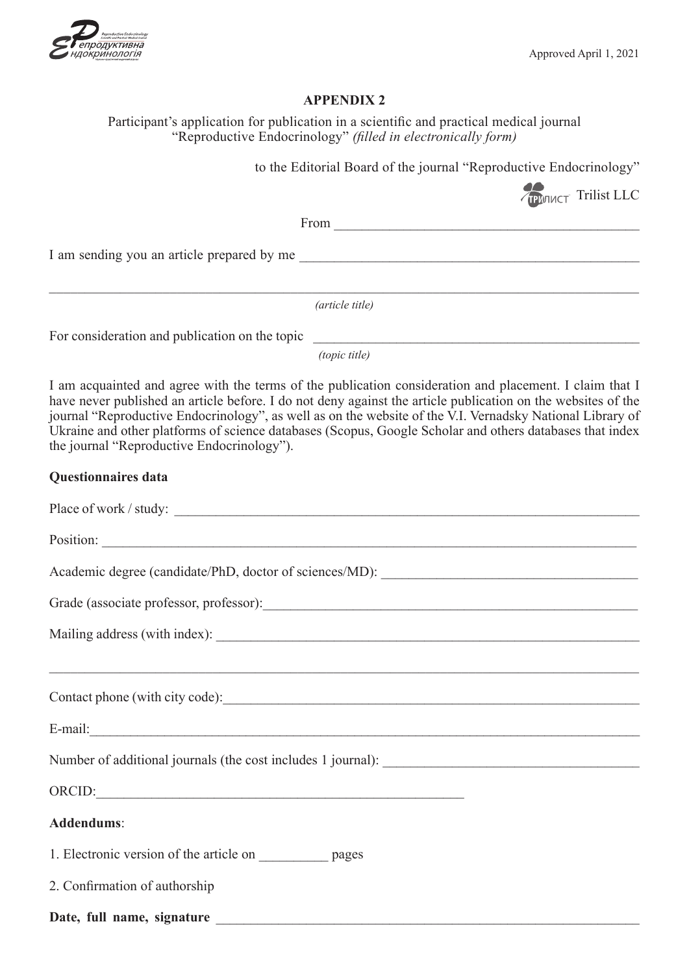

## **APPENDIX 2**

Participant's application for publication in a scientific and practical medical journal "Reproductive Endocrinology" *(filled in electronically form)* to the Editorial Board of the journal "Reproductive Endocrinology" Trilist LLC From \_\_\_\_\_\_\_\_\_\_\_\_\_\_\_\_\_\_\_\_\_\_\_\_\_\_\_\_\_\_\_\_\_\_\_\_\_\_\_\_\_\_\_\_ I am sending you an article prepared by me  $\_$  , and the contribution of the contribution of the contribution of the contribution of the contribution of  $\mathcal{L}_\text{max}$ *(article title)* For consideration and publication on the topic *(topic title)* I am acquainted and agree with the terms of the publication consideration and placement. I claim that I have never published an article before. I do not deny against the article publication on the websites of the journal "Reproductive Endocrinology", as well as on the website of the V.I. Vernadsky National Library of Ukraine and other platforms of science databases (Scopus, Google Scholar and others databases that index the journal "Reproductive Endocrinology"). **Questionnaires data** Place of work / study: \_\_\_\_\_\_\_\_\_\_\_\_\_\_\_\_\_\_\_\_\_\_\_\_\_\_\_\_\_\_\_\_\_\_\_\_\_\_\_\_\_\_\_\_\_\_\_\_\_\_\_\_\_\_\_\_\_\_\_\_\_\_\_\_\_\_\_ Position: Academic degree (candidate/PhD, doctor of sciences/MD): \_\_\_\_\_\_\_\_\_\_\_\_\_\_\_\_\_\_\_\_\_\_\_\_\_ Grade (associate professor, professor): Mailing address (with index): \_\_\_\_\_\_\_\_\_\_\_\_\_\_\_\_\_\_\_\_\_\_\_\_\_\_\_\_\_\_\_\_\_\_\_\_\_\_\_\_\_\_\_\_\_\_\_\_\_\_\_\_\_\_\_\_\_\_\_\_\_\_\_\_\_\_\_\_\_\_\_\_\_\_\_\_\_\_\_\_\_\_\_ Contact phone (with city code):\_\_\_\_\_\_\_\_\_\_\_\_\_\_\_\_\_\_\_\_\_\_\_\_\_\_\_\_\_\_\_\_\_\_\_\_\_\_\_\_\_\_\_\_\_\_\_\_\_\_\_\_\_\_\_\_\_\_\_\_ E-mail: Number of additional journals (the cost includes 1 journal): ORCID: **Addendums**: 1. Electronic version of the article on pages 2. Confirmation of authorship Date, full name, signature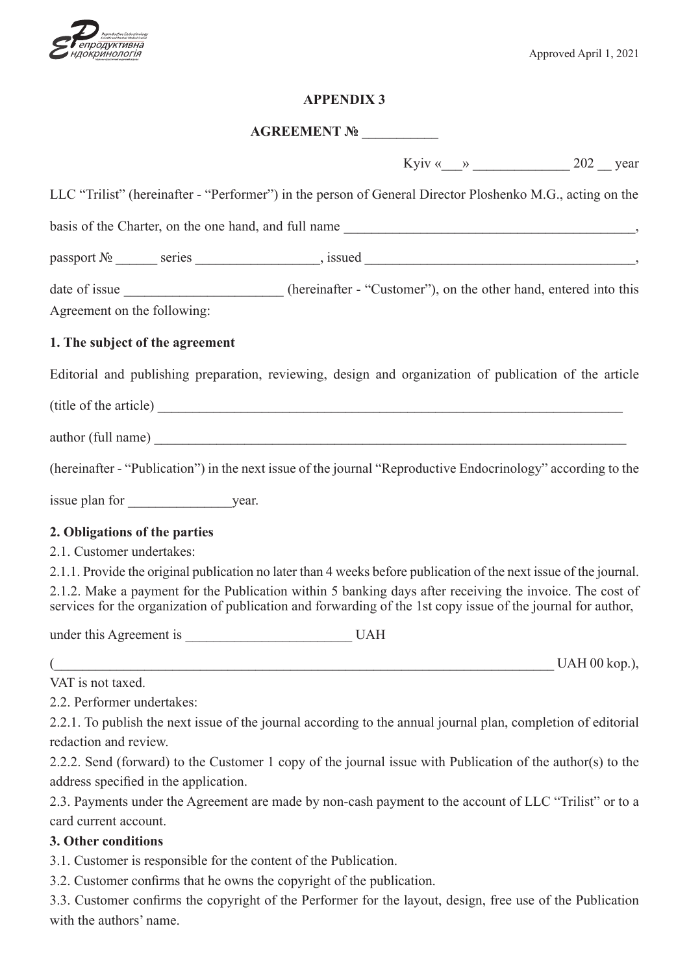

## **APPENDIX 3**

# **AGREEMENT №** \_\_\_\_\_\_\_\_\_\_\_

Kyiv « $\_\_$  »  $\_\_$  202  $\_\$  year

| LLC "Trilist" (hereinafter - "Performer") in the person of General Director Ploshenko M.G., acting on the                                                                                                                      |  |
|--------------------------------------------------------------------------------------------------------------------------------------------------------------------------------------------------------------------------------|--|
| basis of the Charter, on the one hand, and full name                                                                                                                                                                           |  |
| $passport N2$ series series series series series series series series series series series series series series series series series series series series series series series series series series series series series serie |  |
| date of issue __________________________(hereinafter - "Customer"), on the other hand, entered into this                                                                                                                       |  |
| Agreement on the following:                                                                                                                                                                                                    |  |
| 1. The subject of the agreement                                                                                                                                                                                                |  |
| Editorial and publishing preparation, reviewing, design and organization of publication of the article                                                                                                                         |  |
|                                                                                                                                                                                                                                |  |
|                                                                                                                                                                                                                                |  |
| (hereinafter - "Publication") in the next issue of the journal "Reproductive Endocrinology" according to the                                                                                                                   |  |
|                                                                                                                                                                                                                                |  |
| 2. Obligations of the parties                                                                                                                                                                                                  |  |
| 2.1. Customer undertakes:                                                                                                                                                                                                      |  |
| 2.1.1. Provide the original publication no later than 4 weeks before publication of the next issue of the journal.                                                                                                             |  |
| 2.1.2. Make a payment for the Publication within 5 banking days after receiving the invoice. The cost of<br>services for the organization of publication and forwarding of the 1st copy issue of the journal for author,       |  |
|                                                                                                                                                                                                                                |  |
|                                                                                                                                                                                                                                |  |
| VAT is not taxed.                                                                                                                                                                                                              |  |
| 2.2. Performer undertakes:                                                                                                                                                                                                     |  |
| 2.2.1. To publish the next issue of the journal according to the annual journal plan, completion of editorial                                                                                                                  |  |
| redaction and review.                                                                                                                                                                                                          |  |
| 2.2.2. Send (forward) to the Customer 1 copy of the journal issue with Publication of the author(s) to the                                                                                                                     |  |
| address specified in the application.                                                                                                                                                                                          |  |
|                                                                                                                                                                                                                                |  |

2.3. Payments under the Agreement are made by non-cash payment to the account of LLC "Trilist" or to a card current account.

# **3. Other conditions**

3.1. Customer is responsible for the content of the Publication.

3.2. Customer confirms that he owns the copyright of the publication.

3.3. Customer confirms the copyright of the Performer for the layout, design, free use of the Publication with the authors' name.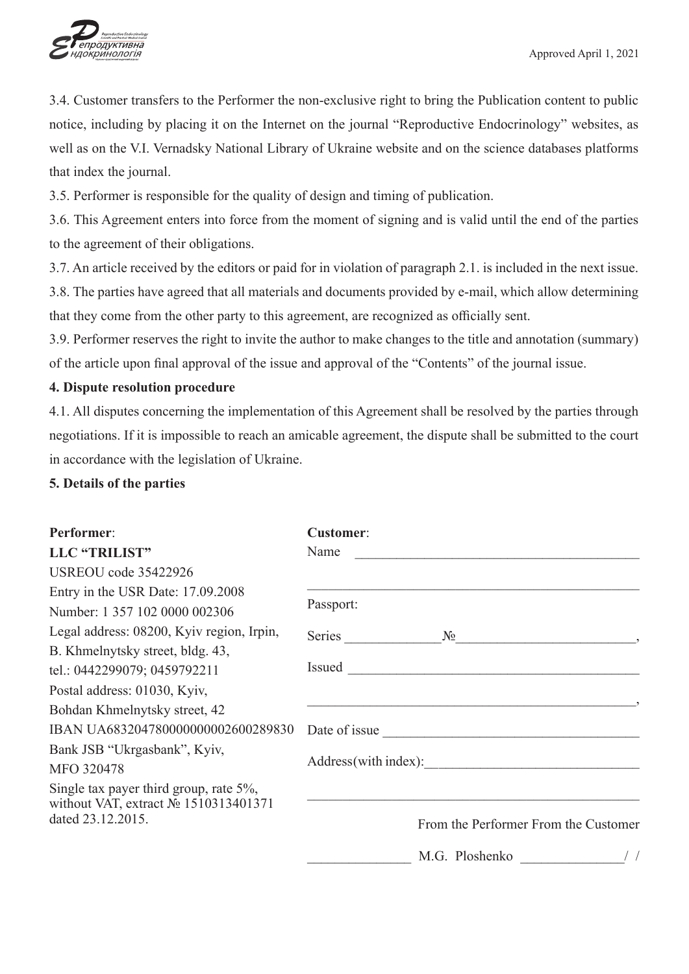

3.4. Customer transfers to the Performer the non-exclusive right to bring the Publication content to public notice, including by placing it on the Internet on the journal "Reproductive Endocrinology" websites, as well as on the V.I. Vernadsky National Library of Ukraine website and on the science databases platforms that index the journal.

3.5. Performer is responsible for the quality of design and timing of publication.

3.6. This Agreement enters into force from the moment of signing and is valid until the end of the parties to the agreement of their obligations.

3.7. An article received by the editors or paid for in violation of paragraph 2.1. is included in the next issue.

3.8. The parties have agreed that all materials and documents provided by e-mail, which allow determining that they come from the other party to this agreement, are recognized as officially sent.

3.9. Performer reserves the right to invite the author to make changes to the title and annotation (summary) of the article upon final approval of the issue and approval of the "Contents" of the journal issue.

# **4. Dispute resolution procedure**

4.1. All disputes concerning the implementation of this Agreement shall be resolved by the parties through negotiations. If it is impossible to reach an amicable agreement, the dispute shall be submitted to the court in accordance with the legislation of Ukraine.

**5. Details of the parties**

| <b>Performer:</b>                                         | <b>Customer:</b>                                           |  |  |  |
|-----------------------------------------------------------|------------------------------------------------------------|--|--|--|
| LLC "TRILIST"                                             | Name<br><u> 1980 - John Stein, Amerikaansk politiker (</u> |  |  |  |
| USREOU code 35422926                                      |                                                            |  |  |  |
| Entry in the USR Date: 17.09.2008                         |                                                            |  |  |  |
| Number: 1 357 102 0000 002306                             | Passport:                                                  |  |  |  |
| Legal address: 08200, Kyiv region, Irpin,                 | Series<br>$N_2$                                            |  |  |  |
| B. Khmelnytsky street, bldg. 43,                          |                                                            |  |  |  |
| tel.: 0442299079; 0459792211                              | Issued                                                     |  |  |  |
| Postal address: 01030, Kyiv,                              |                                                            |  |  |  |
| Bohdan Khmelnytsky street, 42                             |                                                            |  |  |  |
| IBAN UA683204780000000002600289830                        | Date of issue                                              |  |  |  |
| Bank JSB "Ukrgasbank", Kyiv,                              |                                                            |  |  |  |
| MFO 320478                                                | Address (with index):                                      |  |  |  |
| Single tax payer third group, rate $5\%$ ,                |                                                            |  |  |  |
| without VAT, extract № 1510313401371<br>dated 23.12.2015. | From the Performer From the Customer                       |  |  |  |
|                                                           | M.G. Ploshenko                                             |  |  |  |